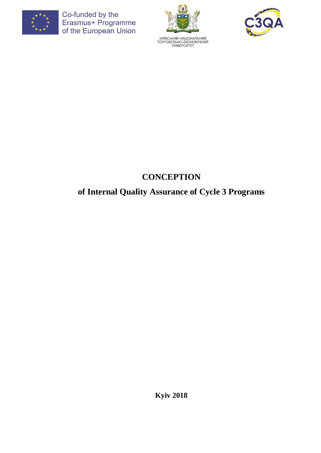





# **CONCEPTION**

# **of Internal Quality Assurance of Cycle 3 Programs**

**Kyiv 2018**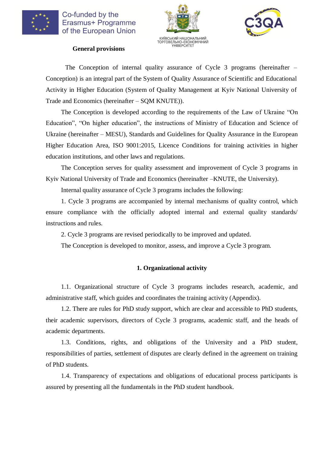





**General provisions**

The Conception of internal quality assurance of Cycle 3 programs (hereinafter – Conception) is an integral part of the System of Quality Assurance of Scientific and Educational Activity in Higher Education (System of Quality Management at Kyiv National University of Trade and Economics (hereinafter – SQM KNUTE)).

The Conception is developed according to the requirements of the Law of Ukraine "On Education", "On higher education", the instructions of Ministry of Education and Science of Ukraine (hereinafter – MESU), Standards and Guidelines for Quality Assurance in the European Higher Education Area, ISO 9001:2015, Licence Conditions for training activities in higher education institutions, and other laws and regulations.

The Conception serves for quality assessment and improvement of Cycle 3 programs in Kyiv National University of Trade and Economics (hereinafter –KNUTE, the University).

Internal quality assurance of Cycle 3 programs includes the following:

1. Cycle 3 programs are accompanied by internal mechanisms of quality control, which ensure compliance with the officially adopted internal and external quality standards/ instructions and rules.

2. Cycle 3 programs are revised periodically to be improved and updated.

The Conception is developed to monitor, assess, and improve a Cycle 3 program.

#### **1. Organizational activity**

1.1. Organizational structure of Cycle 3 programs includes research, academic, and administrative staff, which guides and coordinates the training activity (Appendix).

1.2. There are rules for PhD study support, which are clear and accessible to PhD students, their academic supervisors, directors of Cycle 3 programs, academic staff, and the heads of academic departments.

1.3. Conditions, rights, and obligations of the University and a PhD student, responsibilities of parties, settlement of disputes are clearly defined in the agreement on training of PhD students.

1.4. Transparency of expectations and obligations of educational process participants is assured by presenting all the fundamentals in the PhD student handbook.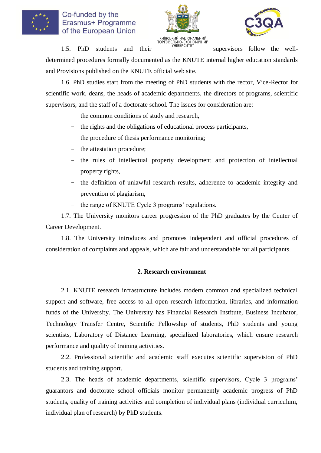





TOPTOBEJING EXCHOMITHUM<br>
TOPTOBEJING EXCHOMITHUM<br>
THIBEPCUTET<br>
SUDERVISORS follow the well-

determined procedures formally documented as the KNUTE internal higher education standards and Provisions published on the KNUTE official web site.

1.6. PhD studies start from the meeting of PhD students with the rector, Vice-Rector for scientific work, deans, the heads of academic departments, the directors of programs, scientific supervisors, and the staff of a doctorate school. The issues for consideration are:

- the common conditions of study and research,
- the rights and the obligations of educational process participants,
- the procedure of thesis performance monitoring;
- the attestation procedure;
- the rules of intellectual property development and protection of intellectual property rights,
- the definition of unlawful research results, adherence to academic integrity and prevention of plagiarism,
- the range of KNUTE Cycle 3 programs' regulations.

1.7. The University monitors career progression of the PhD graduates by the Center of Career Development.

1.8. The University introduces and promotes independent and official procedures of consideration of complaints and appeals, which are fair and understandable for all participants.

#### **2. Research environment**

2.1. KNUTE research infrastructure includes modern common and specialized technical support and software, free access to all open research information, libraries, and information funds of the University. The University has Financial Research Institute, Business Incubator, Technology Transfer Centre, Scientific Fellowship of students, PhD students and young scientists, Laboratory of Distance Learning, specialized laboratories, which ensure research performance and quality of training activities.

2.2. Professional scientific and academic staff executes scientific supervision of PhD students and training support.

2.3. The heads of academic departments, scientific supervisors, Cycle 3 programs' guarantors and doctorate school officials monitor permanently academic progress of PhD students, quality of training activities and completion of individual plans (individual curriculum, individual plan of research) by PhD students.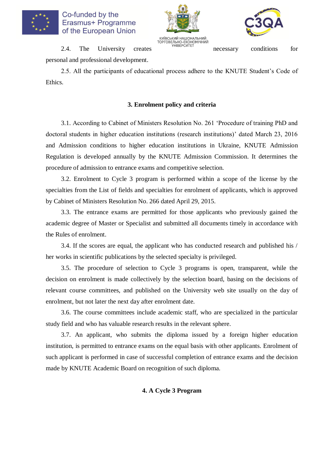





TOPTOBEJINHO-EXOHOMITHINI<br>
2.4. The University creates **necessary** conditions for personal and professional development.

2.5. All the participants of educational process adhere to the KNUTE Student's Code of Ethics.

#### **3. Enrolment policy and criteria**

3.1. According to Cabinet of Ministers Resolution No. 261 'Procedure of training PhD and doctoral students in higher education institutions (research institutions)' dated March 23, 2016 and Admission conditions to higher education institutions in Ukraine, KNUTE Admission Regulation is developed annually by the KNUTE Admission Commission. It determines the procedure of admission to entrance exams and competitive selection.

3.2. Enrolment to Cycle 3 program is performed within a scope of the license by the specialties from the List of fields and specialties for enrolment of applicants, which is approved by Cabinet of Ministers Resolution No. 266 dated April 29, 2015.

3.3. The entrance exams are permitted for those applicants who previously gained the academic degree of Master or Specialist and submitted all documents timely in accordance with the Rules of enrolment.

3.4. If the scores are equal, the applicant who has conducted research and published his / her works in scientific publications by the selected specialty is privileged.

3.5. The procedure of selection to Cycle 3 programs is open, transparent, while the decision on enrolment is made collectively by the selection board, basing on the decisions of relevant course committees, and published on the University web site usually on the day of enrolment, but not later the next day after enrolment date.

3.6. The course committees include academic staff, who are specialized in the particular study field and who has valuable research results in the relevant sphere.

3.7. An applicant, who submits the diploma issued by a foreign higher education institution, is permitted to entrance exams on the equal basis with other applicants. Enrolment of such applicant is performed in case of successful completion of entrance exams and the decision made by KNUTE Academic Board on recognition of such diploma.

#### **4. A Cycle 3 Program**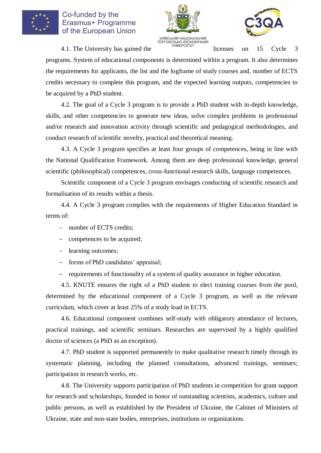





 $\frac{1}{2}$ <br>4.1. The University has gained the structure of the licenses on 15 Cycle 3

programs. System of educational components is determined within a program. It also determines the requirements for applicants, the list and the logframe of study courses and, number of ECTS credits necessary to complete this program, and the expected learning outputs, competencies to be acquired by a PhD student.

4.2. The goal of a Cycle 3 program is to provide a PhD student with in-depth knowledge, skills, and other competencies to generate new ideas, solve complex problems in professional and/or research and innovation activity through scientific and pedagogical methodologies, and conduct research of scientific novelty, practical and theoretical meaning.

4.3. A Cycle 3 program specifies at least four groups of competences, being in line with the National Qualification Framework. Among them are deep professional knowledge, general scientific (philosophical) competences, cross-functional research skills, language competences.

Scientific component of a Cycle 3 program envisages conducting of scientific research and formalisation of its results within a thesis.

4.4. A Cycle 3 program complies with the requirements of Higher Education Standard in terms of:

- number of ECTS credits;
- competences to be acquired;
- learning outcomes;
- forms of PhD candidates' appraisal:
- requirements of functionality of a system of quality assurance in higher education.

4.5. KNUTE ensures the right of a PhD student to elect training courses from the pool, determined by the educational component of a Cycle 3 program, as well as the relevant curriculum, which cover at least 25% of a study load in ECTS.

4.6. Educational component combines self-study with obligatory attendance of lectures, practical trainings, and scientific seminars. Researches are supervised by a highly qualified doctor of sciences (a PhD as an exception).

4.7. PhD student is supported permanently to make qualitative research timely through its systematic planning, including the planned consultations, advanced trainings, seminars; participation in research works, etc.

4.8. The University supports participation of PhD students in competition for grant support for research and scholarships, founded in honor of outstanding scientists, academics, culture and public persons, as well as established by the President of Ukraine, the Cabinet of Ministers of Ukraine, state and non-state bodies, enterprises, institutions or organizations.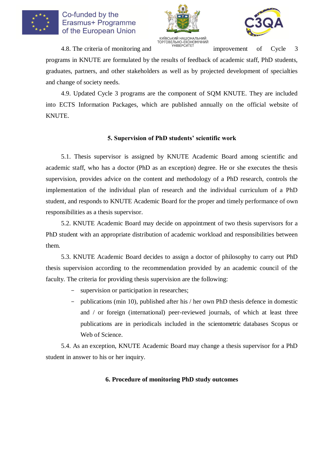





TOPTOBE THE CHANGE THE CONGRITHING TOP CONGRITHING TOPTOBE THEORY CONGRITHING STRING THEORY CONGRITHING STRING CONGRESS THEORY CONGRESS CONGRESS THEORY CONGRESS CONGRESS THEORY CONGRESS CONGRESS THEORY CONGRESS THEORY CONG

programs in KNUTE are formulated by the results of feedback of academic staff, PhD students, graduates, partners, and other stakeholders as well as by projected development of specialties and change of society needs.

4.9. Updated Cycle 3 programs are the component of SQM KNUTE. They are included into ECTS Information Packages, which are published annually on the official website of KNUTE.

#### **5. Supervision of PhD students' scientific work**

5.1. Thesis supervisor is assigned by KNUTE Academic Board among scientific and academic staff, who has a doctor (PhD as an exception) degree. He or she executes the thesis supervision, provides advice on the content and methodology of a PhD research, controls the implementation of the individual plan of research and the individual curriculum of a PhD student, and responds to KNUTE Academic Board for the proper and timely performance of own responsibilities as a thesis supervisor.

5.2. KNUTE Academic Board may decide on appointment of two thesis supervisors for a PhD student with an appropriate distribution of academic workload and responsibilities between them.

5.3. KNUTE Academic Board decides to assign a doctor of philosophy to carry out PhD thesis supervision according to the recommendation provided by an academic council of the faculty. The criteria for providing thesis supervision are the following:

- supervision or participation in researches;
- publications (min 10), published after his / her own PhD thesis defence in domestic and / or foreign (international) peer-reviewed journals, of which at least three publications are in periodicals included in the scientometric databases Scopus or Web of Science.

5.4. As an exception, KNUTE Academic Board may change a thesis supervisor for a PhD student in answer to his or her inquiry.

#### **6. Procedure of monitoring PhD study outcomes**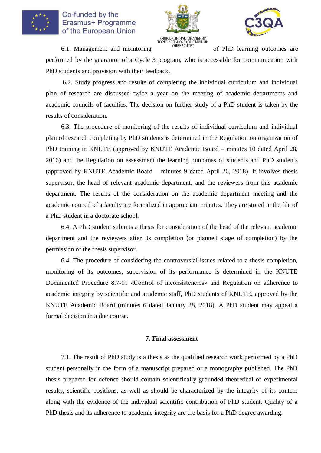





**КИЇВСЬКИЙ НАЦІОНАЛЬНИЙ**<br>
ТОРГОВЕЛЬНО-ЕКОНОМІЧНИЙ<br>
Об PhD learning outcomes are<br>
of PhD learning outcomes are

performed by the guarantor of a Cycle 3 program, who is accessible for communication with PhD students and provision with their feedback.

6.2. Study progress and results of completing the individual curriculum and individual plan of research are discussed twice a year on the meeting of academic departments and academic councils of faculties. The decision on further study of a PhD student is taken by the results of consideration.

6.3. The procedure of monitoring of the results of individual curriculum and individual plan of research completing by PhD students is determined in the Regulation on organization of PhD training in KNUTE (approved by KNUTE Academic Board – minutes 10 dated April 28, 2016) and the Regulation on assessment the learning outcomes of students and PhD students (approved by KNUTE Academic Board – minutes 9 dated April 26, 2018). It involves thesis supervisor, the head of relevant academic department, and the reviewers from this academic department. The results of the consideration on the academic department meeting and the academic council of a faculty are formalized in appropriate minutes. They are stored in the file of a PhD student in a doctorate school.

6.4. A PhD student submits a thesis for consideration of the head of the relevant academic department and the reviewers after its completion (or planned stage of completion) by the permission of the thesis supervisor.

6.4. The procedure of considering the controversial issues related to a thesis completion, monitoring of its outcomes, supervision of its performance is determined in the KNUTE Documented Procedure 8.7-01 «Control of inconsistencies» and Regulation on adherence to academic integrity by scientific and academic staff, PhD students of KNUTE, approved by the KNUTE Academic Board (minutes 6 dated January 28, 2018). A PhD student may appeal a formal decision in a due course.

#### **7. Final assessment**

7.1. The result of PhD study is a thesis as the qualified research work performed by a PhD student personally in the form of a manuscript prepared or a monography published. The PhD thesis prepared for defence should contain scientifically grounded theoretical or experimental results, scientific positions, as well as should be characterized by the integrity of its content along with the evidence of the individual scientific contribution of PhD student. Quality of a PhD thesis and its adherence to academic integrity are the basis for a PhD degree awarding.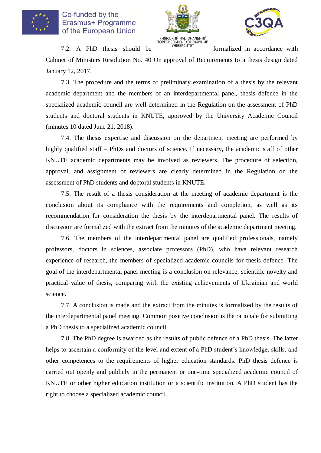





 $7.2.$  A PhD thesis should be  $\frac{7.2}{\frac{7}{2}}$  optobership exchange with formalized in accordance with

Cabinet of Ministers Resolution No. 40 On approval of Requirements to a thesis design dated January 12, 2017.

7.3. The procedure and the terms of preliminary examination of a thesis by the relevant academic department and the members of an interdepartmental panel, thesis defence in the specialized academic council are well determined in the Regulation on the assessment of PhD students and doctoral students in KNUTE, approved by the University Academic Council (minutes 10 dated June 21, 2018).

7.4. The thesis expertise and discussion on the department meeting are performed by highly qualified staff – PhDs and doctors of science. If necessary, the academic staff of other KNUTE academic departments may be involved as reviewers. The procedure of selection, approval, and assignment of reviewers are clearly determined in the Regulation on the assessment of PhD students and doctoral students in KNUTE.

7.5. The result of a thesis consideration at the meeting of academic department is the conclusion about its compliance with the requirements and completion, as well as its recommendation for consideration the thesis by the interdepartmental panel. The results of discussion are formalized with the extract from the minutes of the academic department meeting.

7.6. The members of the interdepartmental panel are qualified professionals, namely professors, doctors in sciences, associate professors (PhD), who have relevant research experience of research, the members of specialized academic councils for thesis defence. The goal of the interdepartmental panel meeting is a conclusion on relevance, scientific novelty and practical value of thesis, comparing with the existing achievements of Ukrainian and world science.

7.7. A conclusion is made and the extract from the minutes is formalized by the results of the interdepartmental panel meeting. Common positive conclusion is the rationale for submitting a PhD thesis to a specialized academic council.

7.8. The PhD degree is awarded as the results of public defence of a PhD thesis. The latter helps to ascertain a conformity of the level and extent of a PhD student's knowledge, skills, and other competences to the requirements of higher education standards. PhD thesis defence is carried out openly and publicly in the permanent or one-time specialized academic council of KNUTE or other higher education institution or a scientific institution. A PhD student has the right to choose a specialized academic council.